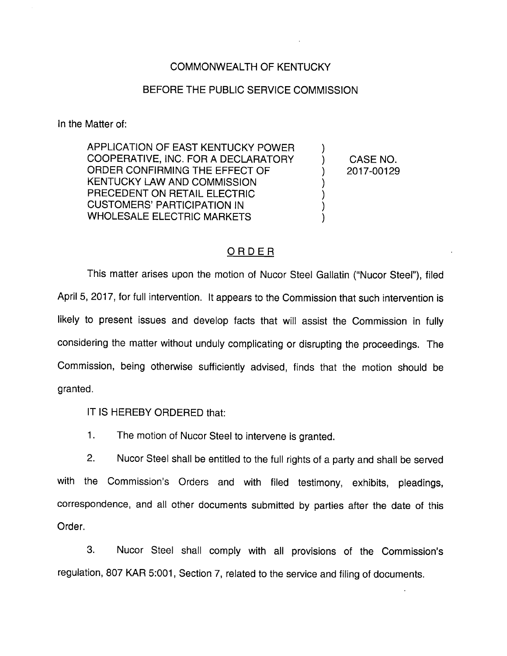## COMMONWEALTH OF KENTUCKY

## BEFORE THE PUBLIC SERVICE COMMISSION

In the Matter of:

APPLICATION OF EAST KENTUCKY POWER COOPERATIVE, INC. FOR A DECLARATORY ORDER CONFIRMING THE EFFECT OF KENTUCKY LAW AND COMMISSION PRECEDENT ON RETAIL ELECTRIC CUSTOMERS' PARTICIPATION IN WHOLESALE ELECTRIC MARKETS

CASE NO. 2017-00129

 $\mathcal{Y}$  $\mathcal{E}$ )  $\mathcal{E}$ 

## ORDER

This matter arises upon the motion of Nucor Steel Gallatin ("Nucor Steel"), filed April 5, 2017, for full intervention. It appears to the Commission that such intervention is likely to present issues and develop facts that will assist the Commission in fully considering the matter without unduly complicating or disrupting the proceedings. The Commission, being otherwise sufficiently advised, finds that the motion should be granted.

IT IS HEREBY ORDERED that:

1. The motion of Nucor Steel to intervene is granted.

2. Nucor Steel shall be entitled to the full rights of a party and shall be served with the Commission's Orders and with filed testimony, exhibits, pleadings, correspondence, and all other documents submitted by parties after the date of this Order.

3. Nucor Steel shall comply with all provisions of the Commission's regulation, 807 KAR 5:001, Section 7, related to the service and filing of documents.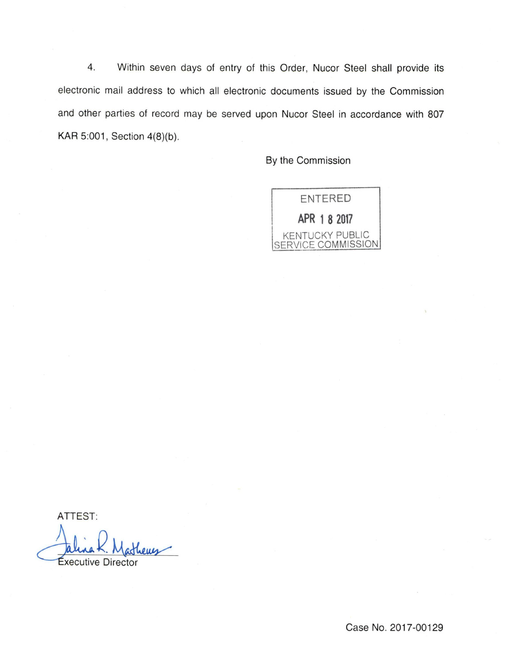4. Within seven days of entry of this Order, Nucor Steel shall provide its electronic mail address to which all electronic documents issued by the Commission and other parties of record may be served upon Nucor Steel in accordance with 807 KAR 5:001, Section 4(8)(b).

By the Commission



ATTEST: xecutive Director